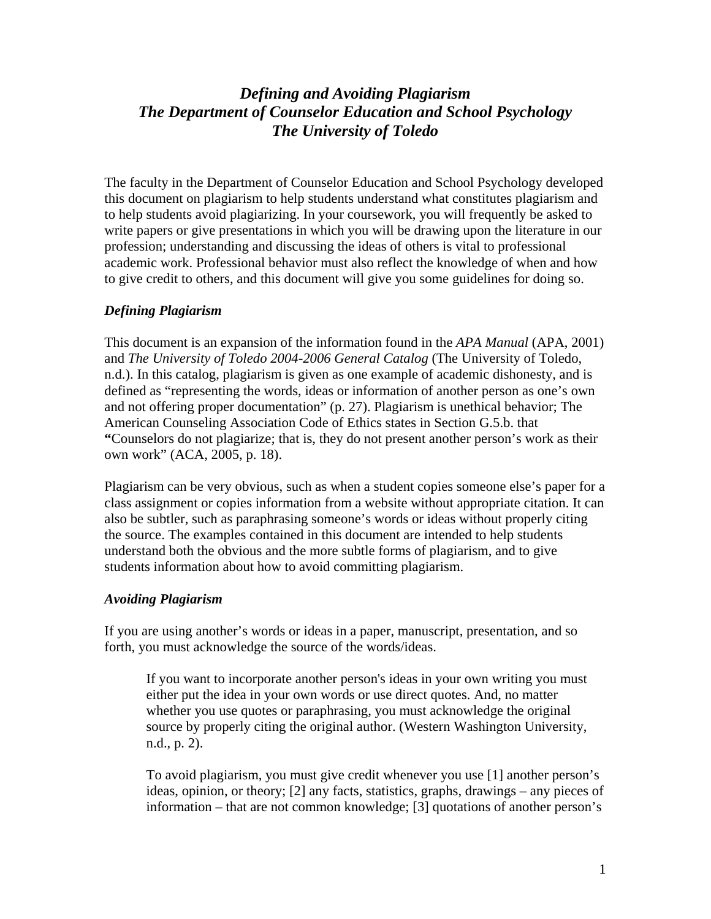# *Defining and Avoiding Plagiarism The Department of Counselor Education and School Psychology The University of Toledo*

The faculty in the Department of Counselor Education and School Psychology developed this document on plagiarism to help students understand what constitutes plagiarism and to help students avoid plagiarizing. In your coursework, you will frequently be asked to write papers or give presentations in which you will be drawing upon the literature in our profession; understanding and discussing the ideas of others is vital to professional academic work. Professional behavior must also reflect the knowledge of when and how to give credit to others, and this document will give you some guidelines for doing so.

#### *Defining Plagiarism*

This document is an expansion of the information found in the *APA Manual* (APA, 2001) and *The University of Toledo 2004-2006 General Catalog* (The University of Toledo, n.d.). In this catalog, plagiarism is given as one example of academic dishonesty, and is defined as "representing the words, ideas or information of another person as one's own and not offering proper documentation" (p. 27). Plagiarism is unethical behavior; The American Counseling Association Code of Ethics states in Section G.5.b. that **"**Counselors do not plagiarize; that is, they do not present another person's work as their own work" (ACA, 2005, p. 18).

Plagiarism can be very obvious, such as when a student copies someone else's paper for a class assignment or copies information from a website without appropriate citation. It can also be subtler, such as paraphrasing someone's words or ideas without properly citing the source. The examples contained in this document are intended to help students understand both the obvious and the more subtle forms of plagiarism, and to give students information about how to avoid committing plagiarism.

#### *Avoiding Plagiarism*

If you are using another's words or ideas in a paper, manuscript, presentation, and so forth, you must acknowledge the source of the words/ideas.

If you want to incorporate another person's ideas in your own writing you must either put the idea in your own words or use direct quotes. And, no matter whether you use quotes or paraphrasing, you must acknowledge the original source by properly citing the original author. (Western Washington University, n.d., p. 2).

To avoid plagiarism, you must give credit whenever you use [1] another person's ideas, opinion, or theory; [2] any facts, statistics, graphs, drawings – any pieces of information – that are not common knowledge; [3] quotations of another person's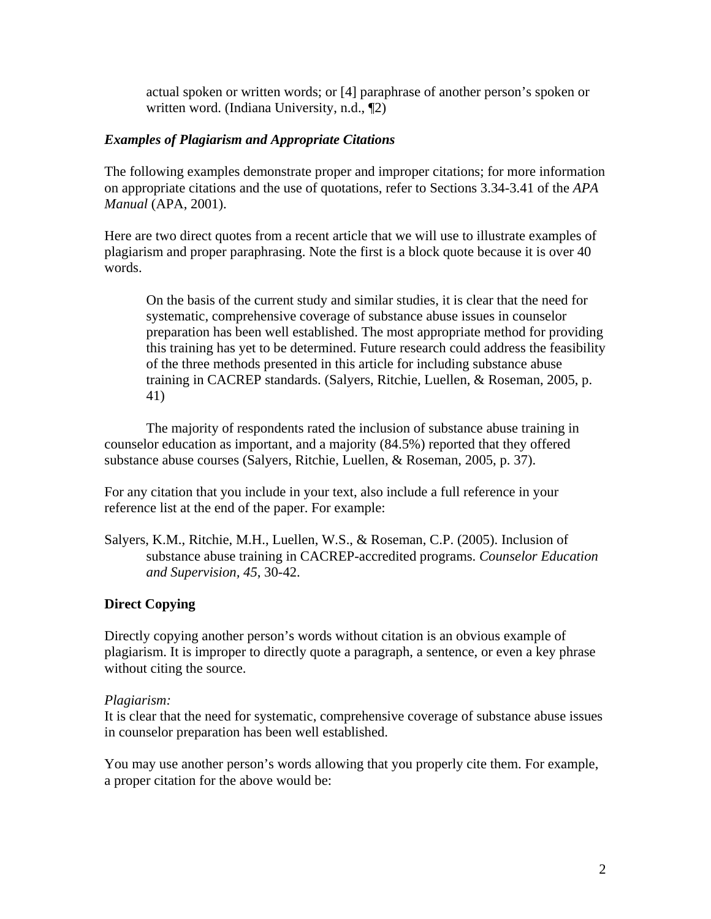actual spoken or written words; or [4] paraphrase of another person's spoken or written word. (Indiana University, n.d., ¶2)

### *Examples of Plagiarism and Appropriate Citations*

The following examples demonstrate proper and improper citations; for more information on appropriate citations and the use of quotations, refer to Sections 3.34-3.41 of the *APA Manual* (APA, 2001).

Here are two direct quotes from a recent article that we will use to illustrate examples of plagiarism and proper paraphrasing. Note the first is a block quote because it is over 40 words.

On the basis of the current study and similar studies, it is clear that the need for systematic, comprehensive coverage of substance abuse issues in counselor preparation has been well established. The most appropriate method for providing this training has yet to be determined. Future research could address the feasibility of the three methods presented in this article for including substance abuse training in CACREP standards. (Salyers, Ritchie, Luellen, & Roseman, 2005, p. 41)

The majority of respondents rated the inclusion of substance abuse training in counselor education as important, and a majority (84.5%) reported that they offered substance abuse courses (Salyers, Ritchie, Luellen, & Roseman, 2005, p. 37).

For any citation that you include in your text, also include a full reference in your reference list at the end of the paper. For example:

Salyers, K.M., Ritchie, M.H., Luellen, W.S., & Roseman, C.P. (2005). Inclusion of substance abuse training in CACREP-accredited programs. *Counselor Education and Supervision, 45*, 30-42.

## **Direct Copying**

Directly copying another person's words without citation is an obvious example of plagiarism. It is improper to directly quote a paragraph, a sentence, or even a key phrase without citing the source.

### *Plagiarism:*

It is clear that the need for systematic, comprehensive coverage of substance abuse issues in counselor preparation has been well established.

You may use another person's words allowing that you properly cite them. For example, a proper citation for the above would be: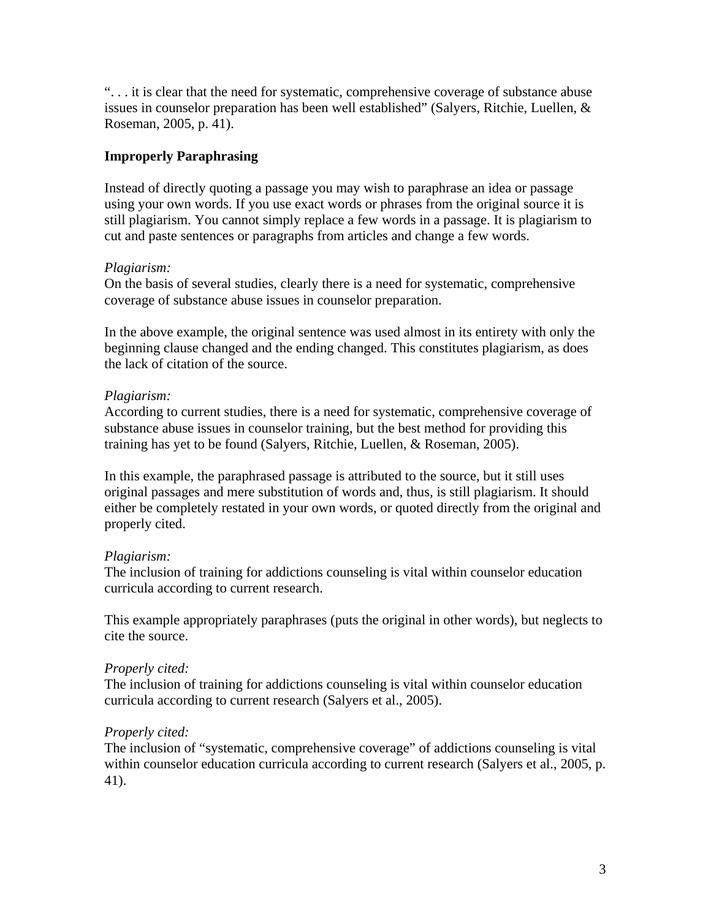". . . it is clear that the need for systematic, comprehensive coverage of substance abuse issues in counselor preparation has been well established" (Salyers, Ritchie, Luellen, & Roseman, 2005, p. 41).

### **Improperly Paraphrasing**

Instead of directly quoting a passage you may wish to paraphrase an idea or passage using your own words. If you use exact words or phrases from the original source it is still plagiarism. You cannot simply replace a few words in a passage. It is plagiarism to cut and paste sentences or paragraphs from articles and change a few words.

### *Plagiarism:*

On the basis of several studies, clearly there is a need for systematic, comprehensive coverage of substance abuse issues in counselor preparation.

In the above example, the original sentence was used almost in its entirety with only the beginning clause changed and the ending changed. This constitutes plagiarism, as does the lack of citation of the source.

### *Plagiarism:*

According to current studies, there is a need for systematic, comprehensive coverage of substance abuse issues in counselor training, but the best method for providing this training has yet to be found (Salyers, Ritchie, Luellen, & Roseman, 2005).

In this example, the paraphrased passage is attributed to the source, but it still uses original passages and mere substitution of words and, thus, is still plagiarism. It should either be completely restated in your own words, or quoted directly from the original and properly cited.

## *Plagiarism:*

The inclusion of training for addictions counseling is vital within counselor education curricula according to current research.

This example appropriately paraphrases (puts the original in other words), but neglects to cite the source.

### *Properly cited:*

The inclusion of training for addictions counseling is vital within counselor education curricula according to current research (Salyers et al., 2005).

## *Properly cited:*

The inclusion of "systematic, comprehensive coverage" of addictions counseling is vital within counselor education curricula according to current research (Salyers et al., 2005, p. 41).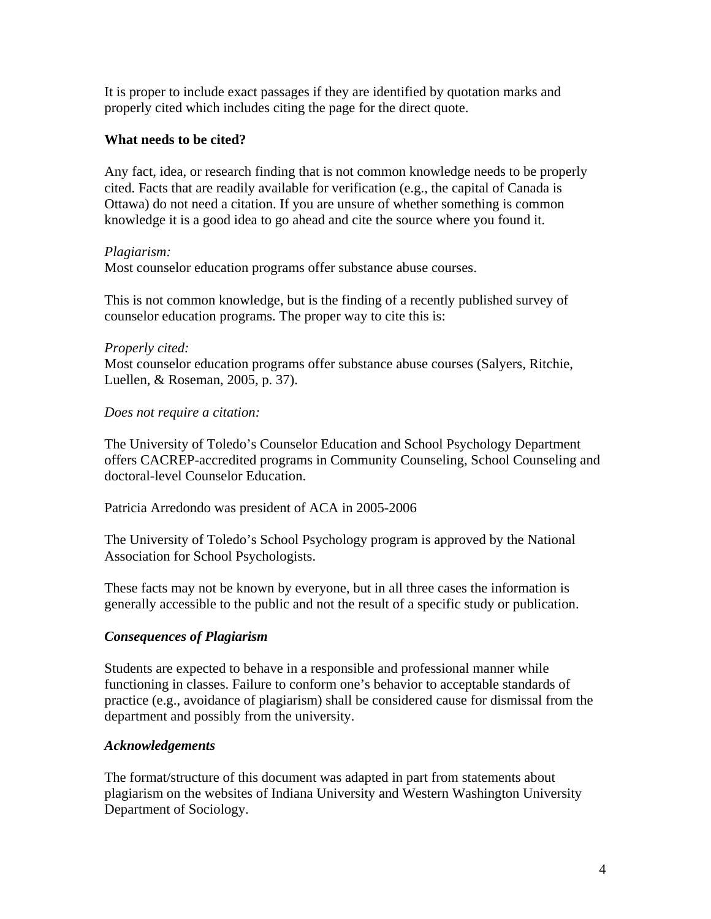It is proper to include exact passages if they are identified by quotation marks and properly cited which includes citing the page for the direct quote.

#### **What needs to be cited?**

Any fact, idea, or research finding that is not common knowledge needs to be properly cited. Facts that are readily available for verification (e.g., the capital of Canada is Ottawa) do not need a citation. If you are unsure of whether something is common knowledge it is a good idea to go ahead and cite the source where you found it.

#### *Plagiarism:*

Most counselor education programs offer substance abuse courses.

This is not common knowledge, but is the finding of a recently published survey of counselor education programs. The proper way to cite this is:

#### *Properly cited:*

Most counselor education programs offer substance abuse courses (Salyers, Ritchie, Luellen, & Roseman, 2005, p. 37).

#### *Does not require a citation:*

The University of Toledo's Counselor Education and School Psychology Department offers CACREP-accredited programs in Community Counseling, School Counseling and doctoral-level Counselor Education.

Patricia Arredondo was president of ACA in 2005-2006

The University of Toledo's School Psychology program is approved by the National Association for School Psychologists.

These facts may not be known by everyone, but in all three cases the information is generally accessible to the public and not the result of a specific study or publication.

### *Consequences of Plagiarism*

Students are expected to behave in a responsible and professional manner while functioning in classes. Failure to conform one's behavior to acceptable standards of practice (e.g., avoidance of plagiarism) shall be considered cause for dismissal from the department and possibly from the university.

### *Acknowledgements*

The format/structure of this document was adapted in part from statements about plagiarism on the websites of Indiana University and Western Washington University Department of Sociology.